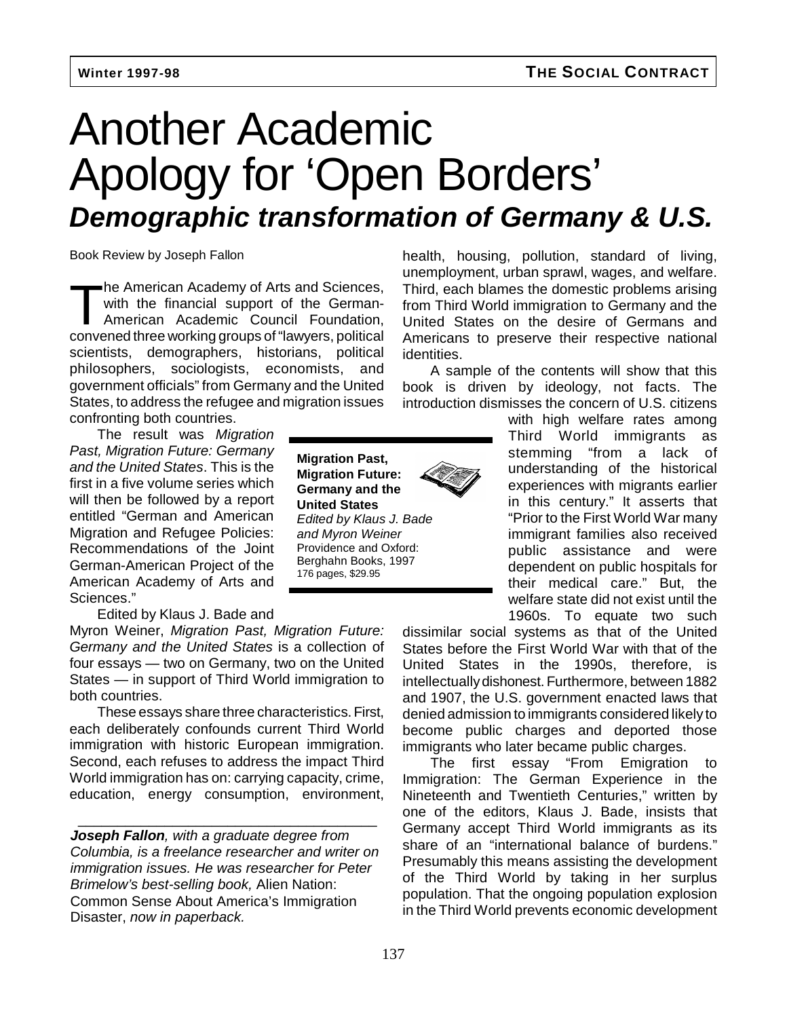# Another Academic Apology for 'Open Borders' **Demographic transformation of Germany & U.S.**

Book Review by Joseph Fallon

The American Academy of Arts and Sciences,<br>
with the financial support of the German-<br>
American Academic Council Foundation, with the financial support of the Germanconvened three working groups of "lawyers, political scientists, demographers, historians, political philosophers, sociologists, economists, and government officials" from Germany and the United States, to address the refugee and migration issues confronting both countries.

The result was Migration Past, Migration Future: Germany and the United States. This is the first in a five volume series which will then be followed by a report entitled "German and American Migration and Refugee Policies: Recommendations of the Joint German-American Project of the American Academy of Arts and Sciences."

Edited by Klaus J. Bade and

Myron Weiner, Migration Past, Migration Future: Germany and the United States is a collection of four essays — two on Germany, two on the United States — in support of Third World immigration to both countries.

These essays share three characteristics. First, each deliberately confounds current Third World immigration with historic European immigration. Second, each refuses to address the impact Third World immigration has on: carrying capacity, crime, education, energy consumption, environment,

**Joseph Fallon**, with a graduate degree from Columbia, is a freelance researcher and writer on immigration issues. He was researcher for Peter Brimelow's best-selling book, Alien Nation: Common Sense About America's Immigration Disaster, now in paperback.

\_\_\_\_\_\_\_\_\_\_\_\_\_\_\_\_\_\_\_\_\_\_\_\_\_\_\_\_\_\_\_\_\_\_\_\_\_\_

**Migration Past, Migration Future: Germany and the United States** Edited by Klaus J. Bade and Myron Weiner Providence and Oxford: Berghahn Books, 1997 176 pages, \$29.95

health, housing, pollution, standard of living, unemployment, urban sprawl, wages, and welfare. Third, each blames the domestic problems arising from Third World immigration to Germany and the United States on the desire of Germans and Americans to preserve their respective national identities.

A sample of the contents will show that this book is driven by ideology, not facts. The introduction dismisses the concern of U.S. citizens

> with high welfare rates among Third World immigrants as stemming "from a lack of understanding of the historical experiences with migrants earlier in this century." It asserts that "Prior to the First World War many immigrant families also received public assistance and were dependent on public hospitals for their medical care." But, the welfare state did not exist until the 1960s. To equate two such

dissimilar social systems as that of the United States before the First World War with that of the United States in the 1990s, therefore, is intellectually dishonest. Furthermore, between 1882 and 1907, the U.S. government enacted laws that denied admission to immigrants considered likely to become public charges and deported those immigrants who later became public charges.

The first essay "From Emigration to Immigration: The German Experience in the Nineteenth and Twentieth Centuries," written by one of the editors, Klaus J. Bade, insists that Germany accept Third World immigrants as its share of an "international balance of burdens." Presumably this means assisting the development of the Third World by taking in her surplus population. That the ongoing population explosion in the Third World prevents economic development

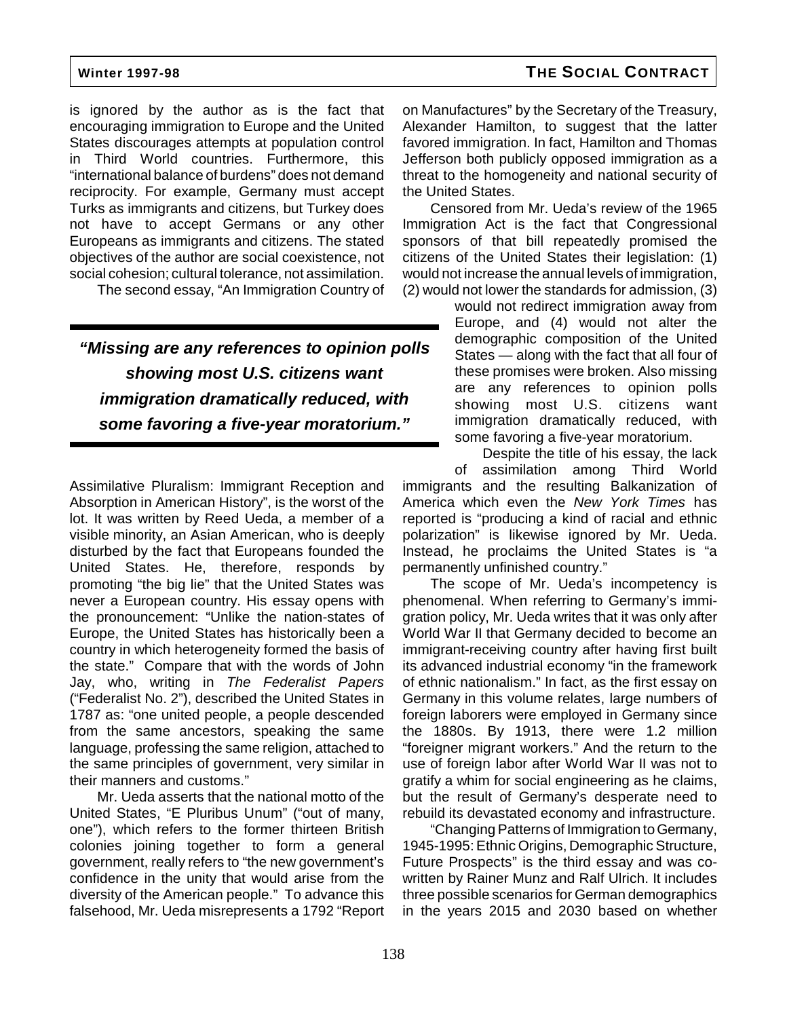is ignored by the author as is the fact that encouraging immigration to Europe and the United States discourages attempts at population control in Third World countries. Furthermore, this "international balance of burdens" does not demand reciprocity. For example, Germany must accept Turks as immigrants and citizens, but Turkey does not have to accept Germans or any other Europeans as immigrants and citizens. The stated objectives of the author are social coexistence, not social cohesion; cultural tolerance, not assimilation.

The second essay, "An Immigration Country of

# **"Missing are any references to opinion polls showing most U.S. citizens want immigration dramatically reduced, with some favoring a five-year moratorium."**

Assimilative Pluralism: Immigrant Reception and Absorption in American History", is the worst of the lot. It was written by Reed Ueda, a member of a visible minority, an Asian American, who is deeply disturbed by the fact that Europeans founded the United States. He, therefore, responds by promoting "the big lie" that the United States was never a European country. His essay opens with the pronouncement: "Unlike the nation-states of Europe, the United States has historically been a country in which heterogeneity formed the basis of the state." Compare that with the words of John Jay, who, writing in The Federalist Papers ("Federalist No. 2"), described the United States in 1787 as: "one united people, a people descended from the same ancestors, speaking the same language, professing the same religion, attached to the same principles of government, very similar in their manners and customs."

Mr. Ueda asserts that the national motto of the United States, "E Pluribus Unum" ("out of many, one"), which refers to the former thirteen British colonies joining together to form a general government, really refers to "the new government's confidence in the unity that would arise from the diversity of the American people." To advance this falsehood, Mr. Ueda misrepresents a 1792 "Report on Manufactures" by the Secretary of the Treasury, Alexander Hamilton, to suggest that the latter favored immigration. In fact, Hamilton and Thomas Jefferson both publicly opposed immigration as a threat to the homogeneity and national security of the United States.

Censored from Mr. Ueda's review of the 1965 Immigration Act is the fact that Congressional sponsors of that bill repeatedly promised the citizens of the United States their legislation: (1) would not increase the annual levels of immigration, (2) would not lower the standards for admission, (3)

> would not redirect immigration away from Europe, and (4) would not alter the demographic composition of the United States — along with the fact that all four of these promises were broken. Also missing are any references to opinion polls showing most U.S. citizens want immigration dramatically reduced, with some favoring a five-year moratorium.

Despite the title of his essay, the lack of assimilation among Third World immigrants and the resulting Balkanization of America which even the New York Times has reported is "producing a kind of racial and ethnic polarization" is likewise ignored by Mr. Ueda. Instead, he proclaims the United States is "a permanently unfinished country."

The scope of Mr. Ueda's incompetency is phenomenal. When referring to Germany's immigration policy, Mr. Ueda writes that it was only after World War II that Germany decided to become an immigrant-receiving country after having first built its advanced industrial economy "in the framework of ethnic nationalism." In fact, as the first essay on Germany in this volume relates, large numbers of foreign laborers were employed in Germany since the 1880s. By 1913, there were 1.2 million "foreigner migrant workers." And the return to the use of foreign labor after World War II was not to gratify a whim for social engineering as he claims, but the result of Germany's desperate need to rebuild its devastated economy and infrastructure.

"Changing Patterns of Immigration to Germany, 1945-1995: Ethnic Origins, Demographic Structure, Future Prospects" is the third essay and was cowritten by Rainer Munz and Ralf Ulrich. It includes three possible scenarios for German demographics in the years 2015 and 2030 based on whether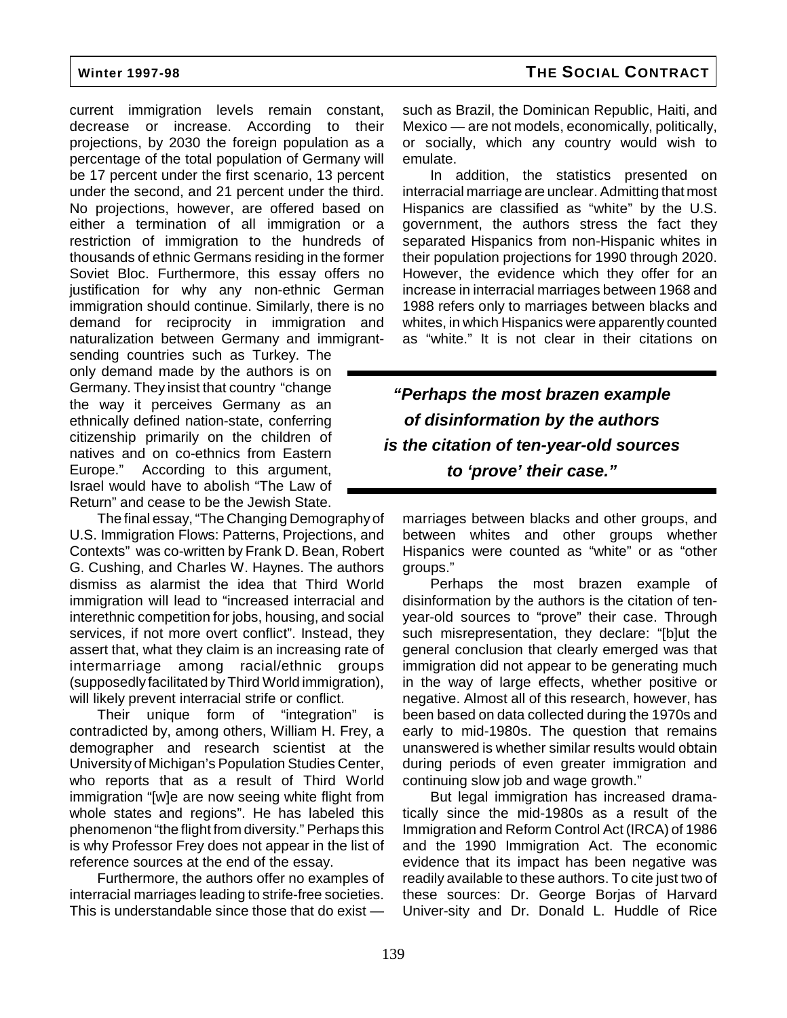current immigration levels remain constant, decrease or increase. According to their projections, by 2030 the foreign population as a percentage of the total population of Germany will be 17 percent under the first scenario, 13 percent under the second, and 21 percent under the third. No projections, however, are offered based on either a termination of all immigration or a restriction of immigration to the hundreds of thousands of ethnic Germans residing in the former Soviet Bloc. Furthermore, this essay offers no justification for why any non-ethnic German immigration should continue. Similarly, there is no demand for reciprocity in immigration and naturalization between Germany and immigrant-

sending countries such as Turkey. The only demand made by the authors is on Germany. They insist that country "change the way it perceives Germany as an ethnically defined nation-state, conferring citizenship primarily on the children of natives and on co-ethnics from Eastern Europe." According to this argument, Israel would have to abolish "The Law of Return" and cease to be the Jewish State.

The final essay, "The Changing Demography of U.S. Immigration Flows: Patterns, Projections, and Contexts" was co-written by Frank D. Bean, Robert G. Cushing, and Charles W. Haynes. The authors dismiss as alarmist the idea that Third World immigration will lead to "increased interracial and interethnic competition for jobs, housing, and social services, if not more overt conflict". Instead, they assert that, what they claim is an increasing rate of intermarriage among racial/ethnic groups (supposedly facilitated by Third World immigration), will likely prevent interracial strife or conflict.

Their unique form of "integration" is contradicted by, among others, William H. Frey, a demographer and research scientist at the University of Michigan's Population Studies Center, who reports that as a result of Third World immigration "[w]e are now seeing white flight from whole states and regions". He has labeled this phenomenon "the flight from diversity." Perhaps this is why Professor Frey does not appear in the list of reference sources at the end of the essay.

Furthermore, the authors offer no examples of interracial marriages leading to strife-free societies. This is understandable since those that do exist —

such as Brazil, the Dominican Republic, Haiti, and Mexico — are not models, economically, politically, or socially, which any country would wish to emulate.

In addition, the statistics presented on interracial marriage are unclear. Admitting that most Hispanics are classified as "white" by the U.S. government, the authors stress the fact they separated Hispanics from non-Hispanic whites in their population projections for 1990 through 2020. However, the evidence which they offer for an increase in interracial marriages between 1968 and 1988 refers only to marriages between blacks and whites, in which Hispanics were apparently counted as "white." It is not clear in their citations on

**"Perhaps the most brazen example of disinformation by the authors is the citation of ten-year-old sources to 'prove' their case."**

marriages between blacks and other groups, and between whites and other groups whether Hispanics were counted as "white" or as "other groups."

Perhaps the most brazen example of disinformation by the authors is the citation of tenyear-old sources to "prove" their case. Through such misrepresentation, they declare: "[b]ut the general conclusion that clearly emerged was that immigration did not appear to be generating much in the way of large effects, whether positive or negative. Almost all of this research, however, has been based on data collected during the 1970s and early to mid-1980s. The question that remains unanswered is whether similar results would obtain during periods of even greater immigration and continuing slow job and wage growth."

But legal immigration has increased dramatically since the mid-1980s as a result of the Immigration and Reform Control Act (IRCA) of 1986 and the 1990 Immigration Act. The economic evidence that its impact has been negative was readily available to these authors. To cite just two of these sources: Dr. George Borjas of Harvard Univer-sity and Dr. Donald L. Huddle of Rice